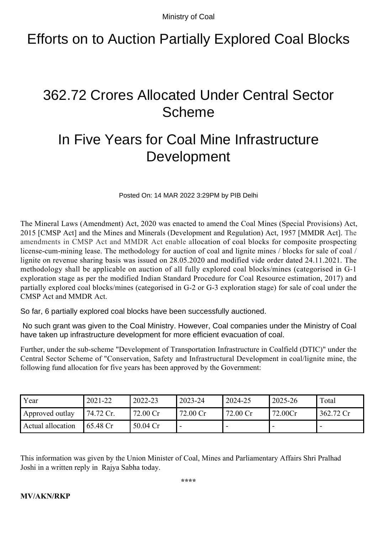Ministry of Coal

## Efforts on to Auction Partially Explored Coal Blocks

## 362.72 Crores Allocated Under Central Sector Scheme

## In Five Years for Coal Mine Infrastructure Development

Posted On: 14 MAR 2022 3:29PM by PIB Delhi

The Mineral Laws (Amendment) Act, 2020 was enacted to amend the Coal Mines (Special Provisions) Act, 2015 [CMSP Act] and the Mines and Minerals (Development and Regulation) Act, 1957 [MMDR Act]. The amendments in CMSP Act and MMDR Act enable allocation of coal blocks for composite prospecting license-cum-mining lease. The methodology for auction of coal and lignite mines / blocks for sale of coal / lignite on revenue sharing basis was issued on 28.05.2020 and modified vide order dated 24.11.2021. The methodology shall be applicable on auction of all fully explored coal blocks/mines (categorised in G-1 exploration stage as per the modified Indian Standard Procedure for Coal Resource estimation, 2017) and partially explored coal blocks/mines (categorised in G-2 or G-3 exploration stage) for sale of coal under the CMSP Act and MMDR Act.

So far, 6 partially explored coal blocks have been successfully auctioned.

 No such grant was given to the Coal Ministry. However, Coal companies under the Ministry of Coal have taken up infrastructure development for more efficient evacuation of coal.

Further, under the sub-scheme "Development of Transportation Infrastructure in Coalfield (DTIC)" under the Central Sector Scheme of "Conservation, Safety and Infrastructural Development in coal/lignite mine, the following fund allocation for five years has been approved by the Government:

| Year              | 2021-22              | 2022-23  | 2023-24  | 2024-25  | 2025-26 | Total     |
|-------------------|----------------------|----------|----------|----------|---------|-----------|
| Approved outlay   | 74.72 Cr.            | 72.00 Cr | 72.00 Cr | 72.00 Cr | 72.00Cr | 362.72 Cr |
| Actual allocation | $65.48 \, \text{Cr}$ | 50.04 Cr |          |          |         |           |

This information was given by the Union Minister of Coal, Mines and Parliamentary Affairs Shri Pralhad Joshi in a written reply in Rajya Sabha today.

## **MV/AKN/RKP**